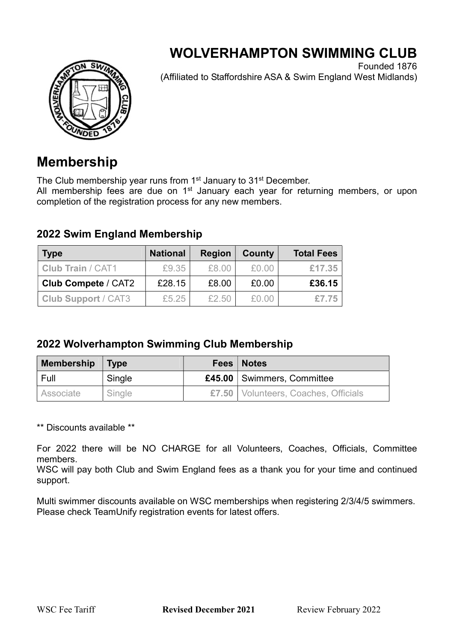# WOLVERHAMPTON SWIMMING CLUB



Founded 1876 (Affiliated to Staffordshire ASA & Swim England West Midlands)

## Membership

The Club membership year runs from 1<sup>st</sup> January to 31<sup>st</sup> December.

All membership fees are due on 1<sup>st</sup> January each year for returning members, or upon completion of the registration process for any new members.

### 2022 Swim England Membership

| <b>Type</b>                | <b>National</b> | <b>Region</b> | County | <b>Total Fees</b> |
|----------------------------|-----------------|---------------|--------|-------------------|
| <b>Club Train / CAT1</b>   | £9.35           | £8.00         | £0.00  | £17.35            |
| <b>Club Compete / CAT2</b> | £28.15          | £8.00         | £0.00  | £36.15            |
| <b>Club Support / CAT3</b> | £5.25           | £2.50         | £0.00  | £7.75             |

### 2022 Wolverhampton Swimming Club Membership

| <b>Membership</b> | <b>Type</b> | Fees   Notes                           |
|-------------------|-------------|----------------------------------------|
| Full              | Single      | £45.00   Swimmers, Committee           |
| Associate         | Single      | £7.50   Volunteers, Coaches, Officials |

\*\* Discounts available \*\*

For 2022 there will be NO CHARGE for all Volunteers, Coaches, Officials, Committee members.

WSC will pay both Club and Swim England fees as a thank you for your time and continued support.

Multi swimmer discounts available on WSC memberships when registering 2/3/4/5 swimmers. Please check TeamUnify registration events for latest offers.